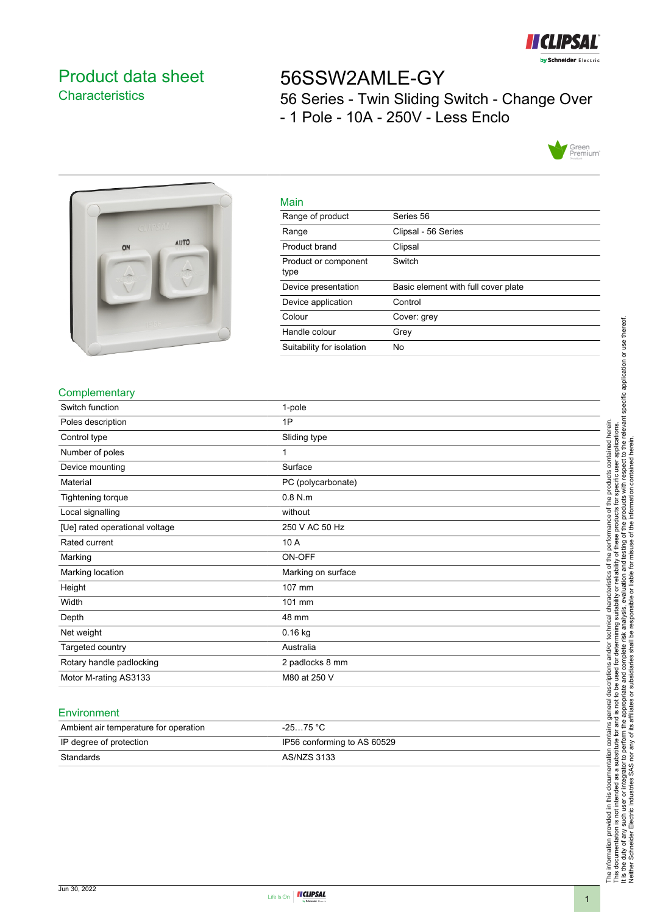

# <span id="page-0-0"></span>Product data sheet **Characteristics**

# 56SSW2AMLE-GY

56 Series - Twin Sliding Switch - Change Over - 1 Pole - 10A - 250V - Less Enclo





| Main                         |                                     |
|------------------------------|-------------------------------------|
| Range of product             | Series 56                           |
| Range                        | Clipsal - 56 Series                 |
| Product brand                | Clipsal                             |
| Product or component<br>type | Switch                              |
| Device presentation          | Basic element with full cover plate |
| Device application           | Control                             |
| Colour                       | Cover: grey                         |
| Handle colour                | Grey                                |
| Suitability for isolation    | No                                  |

## **Complementary**

| Switch function                | 1-pole             |
|--------------------------------|--------------------|
| Poles description              | 1P                 |
| Control type                   | Sliding type       |
| Number of poles                | 1                  |
| Device mounting                | Surface            |
| Material                       | PC (polycarbonate) |
| Tightening torque              | $0.8$ N.m          |
| Local signalling               | without            |
| [Ue] rated operational voltage | 250 V AC 50 Hz     |
| Rated current                  | 10 A               |
| Marking                        | ON-OFF             |
| Marking location               | Marking on surface |
| Height                         | 107 mm             |
| Width                          | 101 mm             |
| Depth                          | 48 mm              |
| Net weight                     | $0.16$ kg          |
| Targeted country               | Australia          |
| Rotary handle padlocking       | 2 padlocks 8 mm    |
| Motor M-rating AS3133          | M80 at 250 V       |

#### Environment

| Ambient air temperature for operation | $-2575 °C$                  |
|---------------------------------------|-----------------------------|
| IP degree of protection               | IP56 conforming to AS 60529 |
| Standards                             | AS/NZS 3133                 |